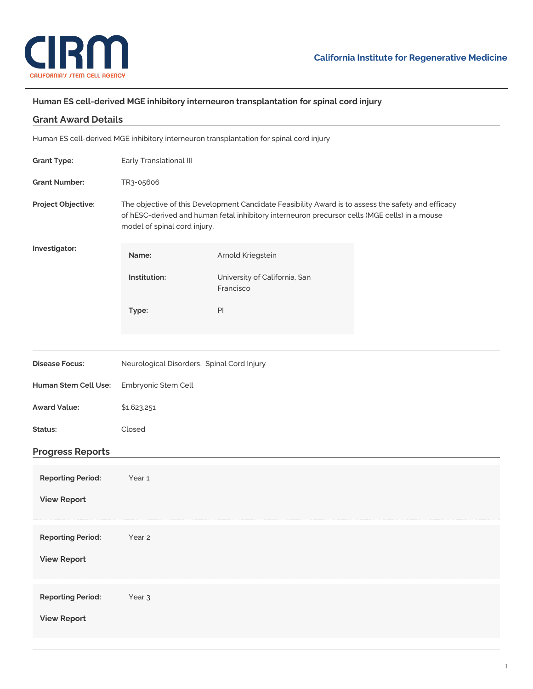

## **Human ES cell-derived MGE inhibitory interneuron transplantation for spinal cord injury**

| <b>Grant Award Details</b>                                                              |                                                                                                                                                                                                                                     |                                            |  |
|-----------------------------------------------------------------------------------------|-------------------------------------------------------------------------------------------------------------------------------------------------------------------------------------------------------------------------------------|--------------------------------------------|--|
| Human ES cell-derived MGE inhibitory interneuron transplantation for spinal cord injury |                                                                                                                                                                                                                                     |                                            |  |
| <b>Grant Type:</b>                                                                      | Early Translational III                                                                                                                                                                                                             |                                            |  |
| <b>Grant Number:</b>                                                                    | TR3-05606                                                                                                                                                                                                                           |                                            |  |
| Project Objective:                                                                      | The objective of this Development Candidate Feasibility Award is to assess the safety and efficacy<br>of hESC-derived and human fetal inhibitory interneuron precursor cells (MGE cells) in a mouse<br>model of spinal cord injury. |                                            |  |
| Investigator:                                                                           | Name:                                                                                                                                                                                                                               | Arnold Kriegstein                          |  |
|                                                                                         | Institution:                                                                                                                                                                                                                        | University of California, San<br>Francisco |  |
|                                                                                         | Type:                                                                                                                                                                                                                               | $\mathsf{Pl}$                              |  |
|                                                                                         |                                                                                                                                                                                                                                     |                                            |  |
| <b>Disease Focus:</b>                                                                   | Neurological Disorders, Spinal Cord Injury                                                                                                                                                                                          |                                            |  |
| Human Stem Cell Use:                                                                    | Embryonic Stem Cell                                                                                                                                                                                                                 |                                            |  |
| <b>Award Value:</b>                                                                     | \$1,623,251                                                                                                                                                                                                                         |                                            |  |
| Status:                                                                                 | Closed                                                                                                                                                                                                                              |                                            |  |
| <b>Progress Reports</b>                                                                 |                                                                                                                                                                                                                                     |                                            |  |
| <b>Reporting Period:</b>                                                                | Year <sub>1</sub>                                                                                                                                                                                                                   |                                            |  |
| <b>View Report</b>                                                                      |                                                                                                                                                                                                                                     |                                            |  |
| <b>Reporting Period:</b>                                                                | Year 2                                                                                                                                                                                                                              |                                            |  |
| <b>View Report</b>                                                                      |                                                                                                                                                                                                                                     |                                            |  |
| <b>Reporting Period:</b>                                                                | Year <sub>3</sub>                                                                                                                                                                                                                   |                                            |  |
| <b>View Report</b>                                                                      |                                                                                                                                                                                                                                     |                                            |  |